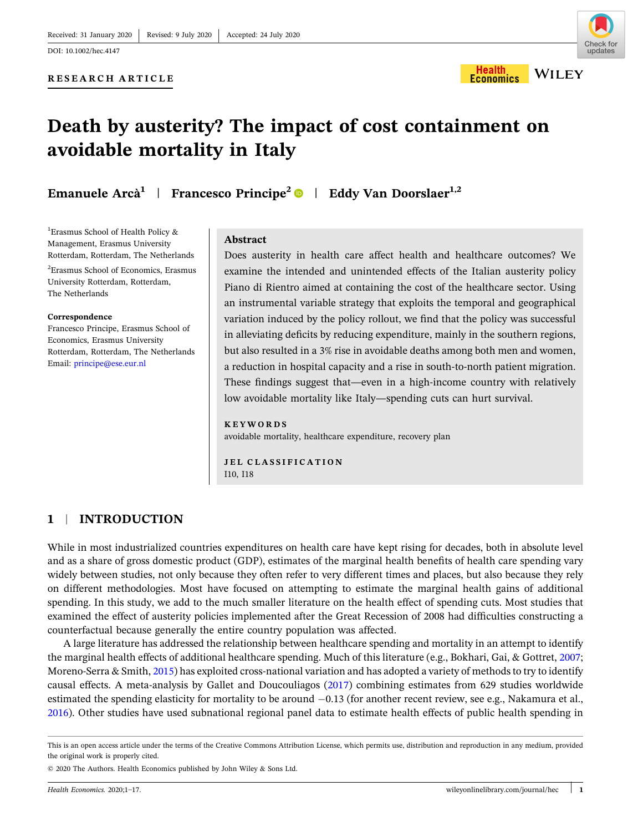Health

**Economics** 

# **RESEARCH ARTICLE**

# **Death by austerity? The impact of cost containment on avoidable mortality in Italy**

**Emanuele Arcà<sup>1</sup>** | **Francesco Principe<sup>2</sup>** | **Eddy Van Doorslaer1,2**

<sup>1</sup>Erasmus School of Health Policy & Management, Erasmus University Rotterdam, Rotterdam, The Netherlands <sup>2</sup> Erasmus School of Economics, Erasmus University Rotterdam, Rotterdam, The Netherlands

#### **Correspondence**

Francesco Principe, Erasmus School of Economics, Erasmus University Rotterdam, Rotterdam, The Netherlands Email: [principe@ese.eur.nl](mailto:principe@ese.eur.nl)

### **Abstract**

Does austerity in health care affect health and healthcare outcomes? We examine the intended and unintended effects of the Italian austerity policy Piano di Rientro aimed at containing the cost of the healthcare sector. Using an instrumental variable strategy that exploits the temporal and geographical variation induced by the policy rollout, we find that the policy was successful in alleviating deficits by reducing expenditure, mainly in the southern regions, but also resulted in a 3% rise in avoidable deaths among both men and women, a reduction in hospital capacity and a rise in south‐to‐north patient migration. These findings suggest that—even in a high‐income country with relatively low avoidable mortality like Italy—spending cuts can hurt survival.

### **KEYWORDS**

avoidable mortality, healthcare expenditure, recovery plan

**JEL CLASSIFICATION** I10, I18

# **1** <sup>|</sup> **INTRODUCTION**

While in most industrialized countries expenditures on health care have kept rising for decades, both in absolute level and as a share of gross domestic product (GDP), estimates of the marginal health benefits of health care spending vary widely between studies, not only because they often refer to very different times and places, but also because they rely on different methodologies. Most have focused on attempting to estimate the marginal health gains of additional spending. In this study, we add to the much smaller literature on the health effect of spending cuts. Most studies that examined the effect of austerity policies implemented after the Great Recession of 2008 had difficulties constructing a counterfactual because generally the entire country population was affected.

A large literature has addressed the relationship between healthcare spending and mortality in an attempt to identify the marginal health effects of additional healthcare spending. Much of this literature (e.g., Bokhari, Gai, & Gottret, [2007](#page-14-0); Moreno-Serra & Smith, [2015\)](#page-15-0) has exploited cross-national variation and has adopted a variety of methods to try to identify causal effects. A meta‐analysis by Gallet and Doucouliagos [\(2017](#page-15-0)) combining estimates from 629 studies worldwide estimated the spending elasticity for mortality to be around  $-0.13$  (for another recent review, see e.g., Nakamura et al., [2016\)](#page-15-0). Other studies have used subnational regional panel data to estimate health effects of public health spending in

This is an open access article under the terms of the Creative Commons Attribution License, which permits use, distribution and reproduction in any medium, provided the original work is properly cited.

<sup>©</sup> 2020 The Authors. Health Economics published by John Wiley & Sons Ltd.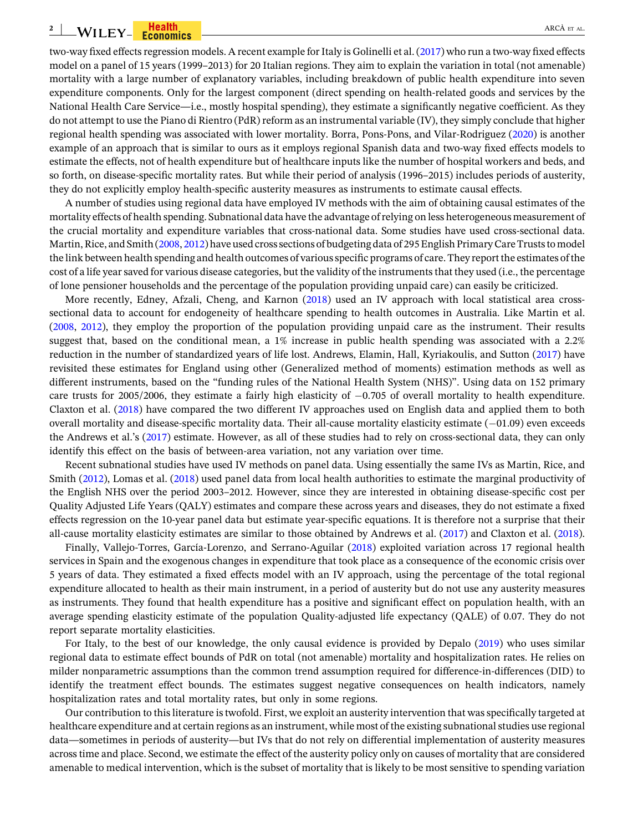#### **2** where the set of the set of the set of the set of the set of the set of the set of the set of the set of the set of  $\mathbf{A}\mathbf{R}\mathbf{C}\mathbf{A}\text{ }\mathbf{E}\mathbf{R}$  and  $\mathbf{A}\mathbf{R}\mathbf{C}\mathbf{A}\text{ }\mathbf{E}\mathbf{R}$  and  $\mathbf{A}\mathbf{R}\mathbf{C}\mathbf{A}\text{$

two-way fixed effects regression models. A recent example for Italy is Golinelli et al. [\(2017\)](#page-15-0) who run a two-way fixed effects model on a panel of 15 years (1999–2013) for 20 Italian regions. They aim to explain the variation in total (not amenable) mortality with a large number of explanatory variables, including breakdown of public health expenditure into seven expenditure components. Only for the largest component (direct spending on health‐related goods and services by the National Health Care Service—i.e., mostly hospital spending), they estimate a significantly negative coefficient. As they do not attempt to use the Piano di Rientro (PdR) reform as an instrumental variable (IV), they simply conclude that higher regional health spending was associated with lower mortality. Borra, Pons‐Pons, and Vilar‐Rodriguez [\(2020\)](#page-14-0) is another example of an approach that is similar to ours as it employs regional Spanish data and two-way fixed effects models to estimate the effects, not of health expenditure but of healthcare inputs like the number of hospital workers and beds, and so forth, on disease-specific mortality rates. But while their period of analysis (1996–2015) includes periods of austerity, they do not explicitly employ health‐specific austerity measures as instruments to estimate causal effects.

A number of studies using regional data have employed IV methods with the aim of obtaining causal estimates of the mortality effects of health spending. Subnational data have the advantage ofrelying on less heterogeneous measurement of the crucial mortality and expenditure variables that cross‐national data. Some studies have used cross‐sectional data. Martin, Rice, and Smith [\(2008](#page-15-0), [2012\)](#page-15-0) have used cross sections of budgeting data of 295 English Primary Care Trusts to model the link between health spending and health outcomes of variousspecific programs of care. They report the estimates ofthe cost of a life year saved for various disease categories, but the validity of the instruments that they used (i.e., the percentage of lone pensioner households and the percentage of the population providing unpaid care) can easily be criticized.

More recently, Edney, Afzali, Cheng, and Karnon [\(2018](#page-14-0)) used an IV approach with local statistical area crosssectional data to account for endogeneity of healthcare spending to health outcomes in Australia. Like Martin et al. ([2008,](#page-15-0) [2012\)](#page-15-0), they employ the proportion of the population providing unpaid care as the instrument. Their results suggest that, based on the conditional mean, a 1% increase in public health spending was associated with a 2.2% reduction in the number of standardized years of life lost. Andrews, Elamin, Hall, Kyriakoulis, and Sutton ([2017](#page-14-0)) have revisited these estimates for England using other (Generalized method of moments) estimation methods as well as different instruments, based on the "funding rules of the National Health System (NHS)". Using data on 152 primary care trusts for 2005/2006, they estimate a fairly high elasticity of  $-0.705$  of overall mortality to health expenditure. Claxton et al. ([2018\)](#page-14-0) have compared the two different IV approaches used on English data and applied them to both overall mortality and disease-specific mortality data. Their all-cause mortality elasticity estimate  $(-01.09)$  even exceeds the Andrews et al.'s [\(2017](#page-14-0)) estimate. However, as all of these studies had to rely on cross-sectional data, they can only identify this effect on the basis of between‐area variation, not any variation over time.

Recent subnational studies have used IV methods on panel data. Using essentially the same IVs as Martin, Rice, and Smith ([2012\)](#page-15-0), Lomas et al. ([2018](#page-15-0)) used panel data from local health authorities to estimate the marginal productivity of the English NHS over the period 2003–2012. However, since they are interested in obtaining disease‐specific cost per Quality Adjusted Life Years (QALY) estimates and compare these across years and diseases, they do not estimate a fixed effects regression on the 10‐year panel data but estimate year‐specific equations. It is therefore not a surprise that their all‐cause mortality elasticity estimates are similar to those obtained by Andrews et al. ([2017\)](#page-14-0) and Claxton et al. ([2018\)](#page-14-0).

Finally, Vallejo-Torres, García-Lorenzo, and Serrano-Aguilar ([2018](#page-16-0)) exploited variation across 17 regional health services in Spain and the exogenous changes in expenditure that took place as a consequence of the economic crisis over 5 years of data. They estimated a fixed effects model with an IV approach, using the percentage of the total regional expenditure allocated to health as their main instrument, in a period of austerity but do not use any austerity measures as instruments. They found that health expenditure has a positive and significant effect on population health, with an average spending elasticity estimate of the population Quality‐adjusted life expectancy (QALE) of 0.07. They do not report separate mortality elasticities.

For Italy, to the best of our knowledge, the only causal evidence is provided by Depalo [\(2019\)](#page-14-0) who uses similar regional data to estimate effect bounds of PdR on total (not amenable) mortality and hospitalization rates. He relies on milder nonparametric assumptions than the common trend assumption required for difference-in-differences (DID) to identify the treatment effect bounds. The estimates suggest negative consequences on health indicators, namely hospitalization rates and total mortality rates, but only in some regions.

Our contribution to thisliterature istwofold. First, we exploit an austerity intervention that wasspecifically targeted at healthcare expenditure and at certain regions as an instrument, while most of the existing subnational studies use regional data—sometimes in periods of austerity—but IVs that do not rely on differential implementation of austerity measures acrosstime and place. Second, we estimate the effect of the austerity policy only on causes of mortality that are considered amenable to medical intervention, which is the subset of mortality that is likely to be most sensitive to spending variation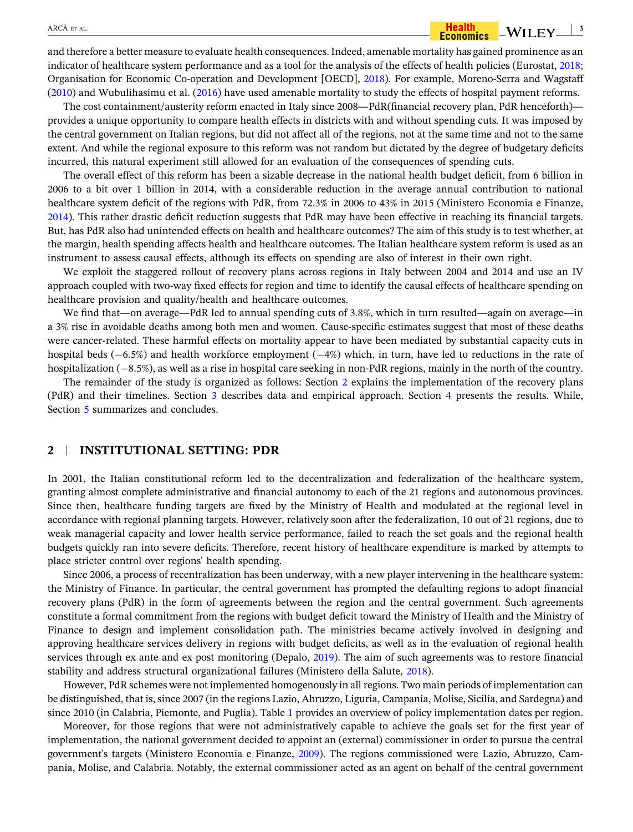and therefore a better measure to evaluate health consequences. Indeed, amenable mortality has gained prominence as an indicator of healthcare system performance and as a tool for the analysis of the effects of health policies (Eurostat, [2018](#page-14-0); Organisation for Economic Co‐operation and Development [OECD], [2018](#page-15-0)). For example, Moreno‐Serra and Wagstaff [\(2010\)](#page-15-0) and Wubulihasimu et al. [\(2016\)](#page-16-0) have used amenable mortality to study the effects of hospital payment reforms.

The cost containment/austerity reform enacted in Italy since 2008—PdR(financial recovery plan, PdR henceforth) provides a unique opportunity to compare health effects in districts with and without spending cuts. It was imposed by the central government on Italian regions, but did not affect all of the regions, not at the same time and not to the same extent. And while the regional exposure to this reform was not random but dictated by the degree of budgetary deficits incurred, this natural experiment still allowed for an evaluation of the consequences of spending cuts.

The overall effect of this reform has been a sizable decrease in the national health budget deficit, from 6 billion in 2006 to a bit over 1 billion in 2014, with a considerable reduction in the average annual contribution to national healthcare system deficit of the regions with PdR, from 72.3% in 2006 to 43% in 2015 (Ministero Economia e Finanze, [2014\)](#page-15-0). This rather drastic deficit reduction suggests that PdR may have been effective in reaching its financial targets. But, has PdR also had unintended effects on health and healthcare outcomes? The aim of this study is to test whether, at the margin, health spending affects health and healthcare outcomes. The Italian healthcare system reform is used as an instrument to assess causal effects, although its effects on spending are also of interest in their own right.

We exploit the staggered rollout of recovery plans across regions in Italy between 2004 and 2014 and use an IV approach coupled with two‐way fixed effects for region and time to identify the causal effects of healthcare spending on healthcare provision and quality/health and healthcare outcomes.

We find that—on average—PdR led to annual spending cuts of 3.8%, which in turn resulted—again on average—in a 3% rise in avoidable deaths among both men and women. Cause‐specific estimates suggest that most of these deaths were cancer-related. These harmful effects on mortality appear to have been mediated by substantial capacity cuts in hospital beds  $(-6.5%)$  and health workforce employment  $(-4%)$  which, in turn, have led to reductions in the rate of hospitalization  $(-8.5\%)$ , as well as a rise in hospital care seeking in non-PdR regions, mainly in the north of the country.

The remainder of the study is organized as follows: Section 2 explains the implementation of the recovery plans (PdR) and their timelines. Section [3](#page-7-0) describes data and empirical approach. Section [4](#page-13-0) presents the results. While, Section [5](#page-14-0) summarizes and concludes.

### **2** <sup>|</sup> **INSTITUTIONAL SETTING: PDR**

In 2001, the Italian constitutional reform led to the decentralization and federalization of the healthcare system, granting almost complete administrative and financial autonomy to each of the 21 regions and autonomous provinces. Since then, healthcare funding targets are fixed by the Ministry of Health and modulated at the regional level in accordance with regional planning targets. However, relatively soon after the federalization, 10 out of 21 regions, due to weak managerial capacity and lower health service performance, failed to reach the set goals and the regional health budgets quickly ran into severe deficits. Therefore, recent history of healthcare expenditure is marked by attempts to place stricter control over regions' health spending.

Since 2006, a process of recentralization has been underway, with a new player intervening in the healthcare system: the Ministry of Finance. In particular, the central government has prompted the defaulting regions to adopt financial recovery plans (PdR) in the form of agreements between the region and the central government. Such agreements constitute a formal commitment from the regions with budget deficit toward the Ministry of Health and the Ministry of Finance to design and implement consolidation path. The ministries became actively involved in designing and approving healthcare services delivery in regions with budget deficits, as well as in the evaluation of regional health services through ex ante and ex post monitoring (Depalo, [2019](#page-14-0)). The aim of such agreements was to restore financial stability and address structural organizational failures (Ministero della Salute, [2018](#page-15-0)).

However, PdR schemes were not implemented homogenously in allregions. Two main periods of implementation can be distinguished, that is, since 2007 (in the regions Lazio, Abruzzo, Liguria, Campania, Molise, Sicilia, and Sardegna) and since 2010 (in Calabria, Piemonte, and Puglia). Table [1](#page-3-0) provides an overview of policy implementation dates per region.

Moreover, for those regions that were not administratively capable to achieve the goals set for the first year of implementation, the national government decided to appoint an (external) commissioner in order to pursue the central government's targets (Ministero Economia e Finanze, [2009](#page-15-0)). The regions commissioned were Lazio, Abruzzo, Campania, Molise, and Calabria. Notably, the external commissioner acted as an agent on behalf of the central government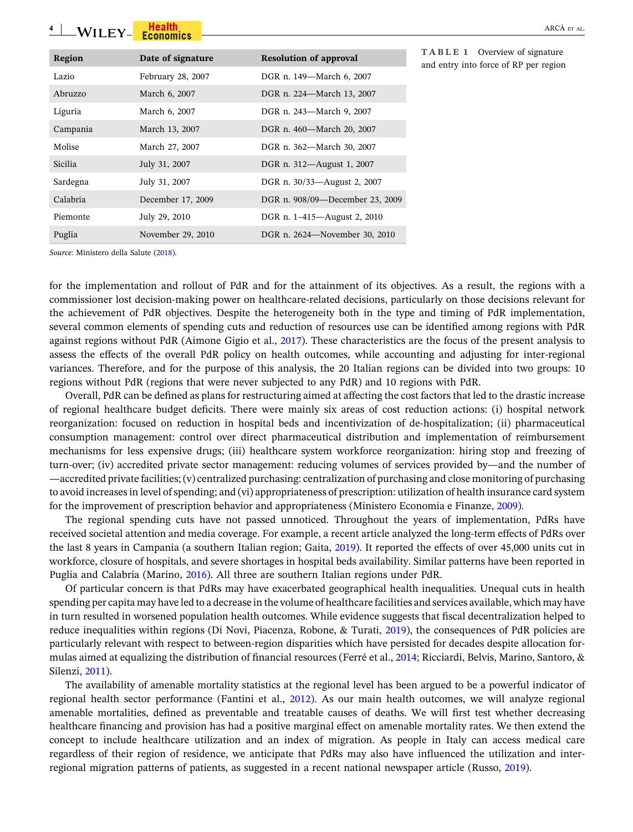#### <span id="page-3-0"></span>**4** - ARCÀ ET AL.

| Region         | Date of signature | <b>Resolution of approval</b>   |
|----------------|-------------------|---------------------------------|
| Lazio          | February 28, 2007 | DGR n. 149—March 6, 2007        |
| Abruzzo        | March 6, 2007     | DGR n. 224-March 13, 2007       |
| Liguria        | March 6, 2007     | DGR n. 243-March 9, 2007        |
| Campania       | March 13, 2007    | DGR n. 460-March 20, 2007       |
| Molise         | March 27, 2007    | DGR n. 362—March 30, 2007       |
| <b>Sicilia</b> | July 31, 2007     | DGR n. 312-August 1, 2007       |
| Sardegna       | July 31, 2007     | DGR n. 30/33—August 2, 2007     |
| Calabria       | December 17, 2009 | DGR n. 908/09-December 23, 2009 |
| Piemonte       | July 29, 2010     | DGR n. 1-415—August 2, 2010     |
| Puglia         | November 29, 2010 | DGR n. 2624-November 30, 2010   |

**TABLE 1** Overview of signature and entry into force of RP per region

*Source*: Ministero della Salute [\(2018\)](#page-15-0).

for the implementation and rollout of PdR and for the attainment of its objectives. As a result, the regions with a commissioner lost decision–making power on healthcare-related decisions, particularly on those decisions relevant for the achievement of PdR objectives. Despite the heterogeneity both in the type and timing of PdR implementation, several common elements of spending cuts and reduction of resources use can be identified among regions with PdR against regions without PdR (Aimone Gigio et al., [2017\)](#page-14-0). These characteristics are the focus of the present analysis to assess the effects of the overall PdR policy on health outcomes, while accounting and adjusting for inter‐regional variances. Therefore, and for the purpose of this analysis, the 20 Italian regions can be divided into two groups: 10 regions without PdR (regions that were never subjected to any PdR) and 10 regions with PdR.

Overall, PdR can be defined as plans for restructuring aimed at affecting the cost factors that led to the drastic increase of regional healthcare budget deficits. There were mainly six areas of cost reduction actions: (i) hospital network reorganization: focused on reduction in hospital beds and incentivization of de‐hospitalization; (ii) pharmaceutical consumption management: control over direct pharmaceutical distribution and implementation of reimbursement mechanisms for less expensive drugs; (iii) healthcare system workforce reorganization: hiring stop and freezing of turn‐over; (iv) accredited private sector management: reducing volumes of services provided by—and the number of —accredited private facilities; (v) centralized purchasing: centralization of purchasing and close monitoring of purchasing to avoid increasesin level ofspending; and (vi) appropriateness of prescription: utilization of health insurance card system for the improvement of prescription behavior and appropriateness (Ministero Economia e Finanze, [2009](#page-15-0)).

The regional spending cuts have not passed unnoticed. Throughout the years of implementation, PdRs have received societal attention and media coverage. For example, a recent article analyzed the long‐term effects of PdRs over the last 8 years in Campania (a southern Italian region; Gaita, [2019\)](#page-15-0). It reported the effects of over 45,000 units cut in workforce, closure of hospitals, and severe shortages in hospital beds availability. Similar patterns have been reported in Puglia and Calabria (Marino, [2016\)](#page-15-0). All three are southern Italian regions under PdR.

Of particular concern is that PdRs may have exacerbated geographical health inequalities. Unequal cuts in health spending per capita may have led to a decrease in the volume of healthcare facilities and services available, which may have in turn resulted in worsened population health outcomes. While evidence suggests that fiscal decentralization helped to reduce inequalities within regions (Di Novi, Piacenza, Robone, & Turati, [2019](#page-14-0)), the consequences of PdR policies are particularly relevant with respect to between‐region disparities which have persisted for decades despite allocation formulas aimed at equalizing the distribution of financial resources (Ferré et al., [2014](#page-14-0); Ricciardi, Belvis, Marino, Santoro, & Silenzi, [2011\)](#page-15-0).

The availability of amenable mortality statistics at the regional level has been argued to be a powerful indicator of regional health sector performance (Fantini et al., [2012](#page-14-0)). As our main health outcomes, we will analyze regional amenable mortalities, defined as preventable and treatable causes of deaths. We will first test whether decreasing healthcare financing and provision has had a positive marginal effect on amenable mortality rates. We then extend the concept to include healthcare utilization and an index of migration. As people in Italy can access medical care regardless of their region of residence, we anticipate that PdRs may also have influenced the utilization and inter‐ regional migration patterns of patients, as suggested in a recent national newspaper article (Russo, [2019\)](#page-15-0).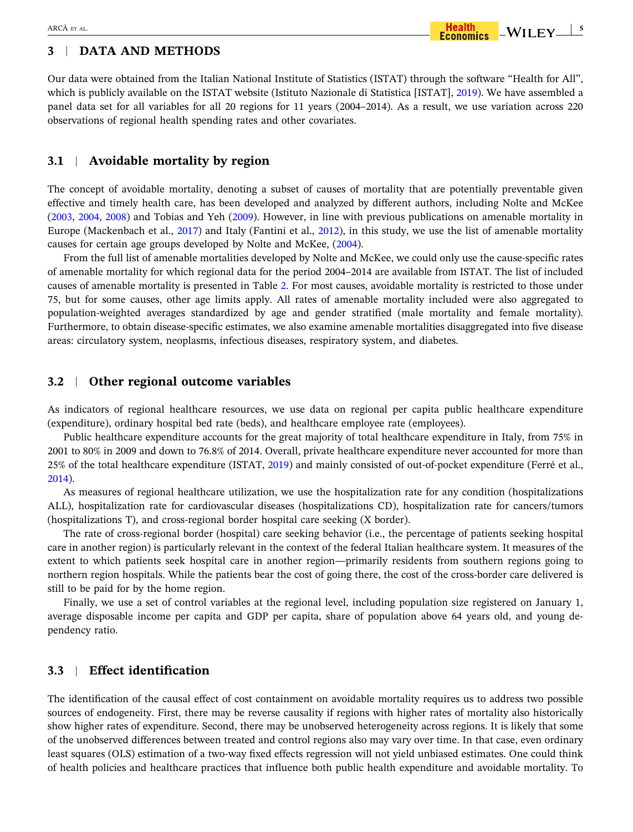# **3** <sup>|</sup> **DATA AND METHODS**

Our data were obtained from the Italian National Institute of Statistics (ISTAT) through the software "Health for All", which is publicly available on the ISTAT website (Istituto Nazionale di Statistica [ISTAT], [2019](#page-15-0)). We have assembled a panel data set for all variables for all 20 regions for 11 years (2004–2014). As a result, we use variation across 220 observations of regional health spending rates and other covariates.

### **3.1** <sup>|</sup> **Avoidable mortality by region**

The concept of avoidable mortality, denoting a subset of causes of mortality that are potentially preventable given effective and timely health care, has been developed and analyzed by different authors, including Nolte and McKee [\(2003,](#page-15-0) [2004](#page-15-0), [2008\)](#page-15-0) and Tobias and Yeh ([2009](#page-16-0)). However, in line with previous publications on amenable mortality in Europe (Mackenbach et al., [2017](#page-15-0)) and Italy (Fantini et al., [2012](#page-14-0)), in this study, we use the list of amenable mortality causes for certain age groups developed by Nolte and McKee, ([2004](#page-15-0)).

From the full list of amenable mortalities developed by Nolte and McKee, we could only use the cause-specific rates of amenable mortality for which regional data for the period 2004–2014 are available from ISTAT. The list of included causes of amenable mortality is presented in Table [2](#page-5-0). For most causes, avoidable mortality is restricted to those under 75, but for some causes, other age limits apply. All rates of amenable mortality included were also aggregated to population‐weighted averages standardized by age and gender stratified (male mortality and female mortality). Furthermore, to obtain disease-specific estimates, we also examine amenable mortalities disaggregated into five disease areas: circulatory system, neoplasms, infectious diseases, respiratory system, and diabetes.

### **3.2** <sup>|</sup> **Other regional outcome variables**

As indicators of regional healthcare resources, we use data on regional per capita public healthcare expenditure (expenditure), ordinary hospital bed rate (beds), and healthcare employee rate (employees).

Public healthcare expenditure accounts for the great majority of total healthcare expenditure in Italy, from 75% in 2001 to 80% in 2009 and down to 76.8% of 2014. Overall, private healthcare expenditure never accounted for more than 25% of the total healthcare expenditure (ISTAT, [2019\)](#page-15-0) and mainly consisted of out‐of‐pocket expenditure (Ferré et al., [2014\)](#page-14-0).

As measures of regional healthcare utilization, we use the hospitalization rate for any condition (hospitalizations ALL), hospitalization rate for cardiovascular diseases (hospitalizations CD), hospitalization rate for cancers/tumors (hospitalizations T), and cross‐regional border hospital care seeking (X border).

The rate of cross-regional border (hospital) care seeking behavior (i.e., the percentage of patients seeking hospital care in another region) is particularly relevant in the context of the federal Italian healthcare system. It measures of the extent to which patients seek hospital care in another region—primarily residents from southern regions going to northern region hospitals. While the patients bear the cost of going there, the cost of the cross-border care delivered is still to be paid for by the home region.

Finally, we use a set of control variables at the regional level, including population size registered on January 1, average disposable income per capita and GDP per capita, share of population above 64 years old, and young dependency ratio.

# **3.3** <sup>|</sup> **Effect identification**

The identification of the causal effect of cost containment on avoidable mortality requires us to address two possible sources of endogeneity. First, there may be reverse causality if regions with higher rates of mortality also historically show higher rates of expenditure. Second, there may be unobserved heterogeneity across regions. It is likely that some of the unobserved differences between treated and control regions also may vary over time. In that case, even ordinary least squares (OLS) estimation of a two‐way fixed effects regression will not yield unbiased estimates. One could think of health policies and healthcare practices that influence both public health expenditure and avoidable mortality. To

Health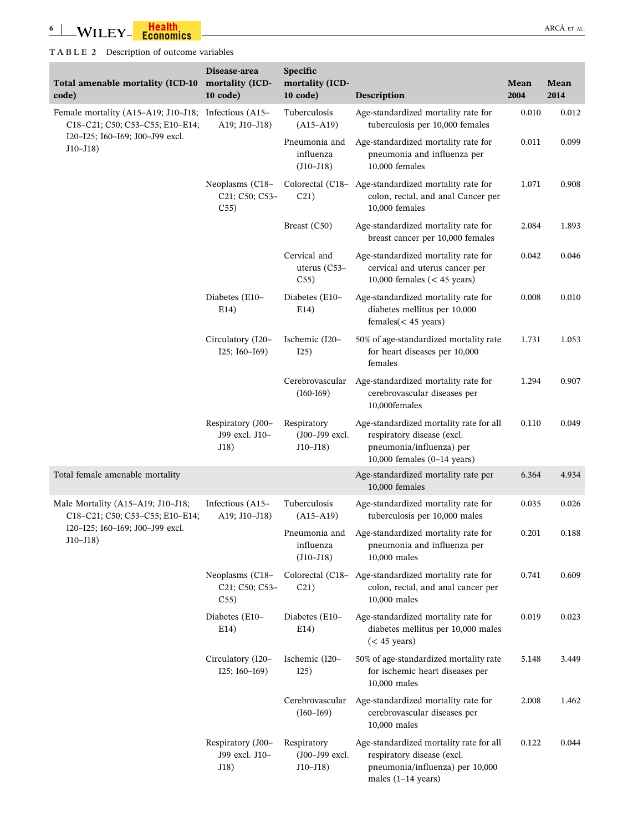<span id="page-5-0"></span>i.

| Total amenable mortality (ICD-10<br>code)                                               | Disease-area<br>mortality (ICD-<br>10 code) | Specific<br>mortality (ICD-<br>$10$ code)    | Description                                                                                                                              | Mean<br>2004 | Mean<br>2014 |
|-----------------------------------------------------------------------------------------|---------------------------------------------|----------------------------------------------|------------------------------------------------------------------------------------------------------------------------------------------|--------------|--------------|
| Female mortality (A15-A19; J10-J18; Infectious (A15-<br>C18-C21; C50; C53-C55; E10-E14; | A19; J10-J18)                               | Tuberculosis<br>$(A15-A19)$                  | Age-standardized mortality rate for<br>tuberculosis per 10,000 females                                                                   | 0.010        | 0.012        |
| I20-I25; I60-I69; J00-J99 excl.<br>$J10 - J18$                                          |                                             | Pneumonia and<br>influenza<br>$(J10-J18)$    | Age-standardized mortality rate for<br>pneumonia and influenza per<br>10,000 females                                                     | 0.011        | 0.099        |
|                                                                                         | Neoplasms (C18-<br>C21; C50; C53-<br>C55)   | C21)                                         | Colorectal (C18- Age-standardized mortality rate for<br>colon, rectal, and anal Cancer per<br>10,000 females                             | 1.071        | 0.908        |
|                                                                                         |                                             | Breast (C50)                                 | Age-standardized mortality rate for<br>breast cancer per 10,000 females                                                                  | 2.084        | 1.893        |
|                                                                                         |                                             | Cervical and<br>uterus $(C53-$<br>C55)       | Age-standardized mortality rate for<br>cervical and uterus cancer per<br>10,000 females $(< 45$ years)                                   | 0.042        | 0.046        |
|                                                                                         | Diabetes (E10-<br>E14)                      | Diabetes (E10-<br>E14)                       | Age-standardized mortality rate for<br>diabetes mellitus per 10,000<br>$f$ emales $(<$ 45 years)                                         | 0.008        | 0.010        |
|                                                                                         | Circulatory (I20-<br>I25; I60-I69)          | Ischemic (I20-<br>125)                       | 50% of age-standardized mortality rate<br>for heart diseases per 10,000<br>females                                                       | 1.731        | 1.053        |
|                                                                                         |                                             | Cerebrovascular<br>$(I60-I69)$               | Age-standardized mortality rate for<br>cerebrovascular diseases per<br>10,000females                                                     | 1.294        | 0.907        |
|                                                                                         | Respiratory (J00-<br>J99 excl. J10-<br>J18) | Respiratory<br>(J00-J99 excl.<br>$J10 - J18$ | Age-standardized mortality rate for all<br>respiratory disease (excl.<br>pneumonia/influenza) per<br>10,000 females $(0-14$ years)       | 0.110        | 0.049        |
| Total female amenable mortality                                                         |                                             |                                              | Age-standardized mortality rate per<br>10,000 females                                                                                    | 6.364        | 4.934        |
| Male Mortality (A15-A19; J10-J18;<br>C18-C21; C50; C53-C55; E10-E14;                    | Infectious (A15-<br>A19; J10-J18)           | Tuberculosis<br>$(A15-A19)$                  | Age-standardized mortality rate for<br>tuberculosis per 10,000 males                                                                     | 0.035        | 0.026        |
| I20-I25; I60-I69; J00-J99 excl.<br>$J10 - J18)$                                         |                                             | Pneumonia and<br>influenza<br>$(J10-J18)$    | Age-standardized mortality rate for<br>pneumonia and influenza per<br>10,000 males                                                       | 0.201        | 0.188        |
|                                                                                         | Neoplasms (C18-<br>C21; C50; C53-<br>C55)   | Colorectal (C18-<br>C21)                     | Age-standardized mortality rate for<br>colon, rectal, and anal cancer per<br>10,000 males                                                | 0.741        | 0.609        |
|                                                                                         | Diabetes (E10-<br>E14)                      | Diabetes (E10-<br>E14)                       | Age-standardized mortality rate for<br>diabetes mellitus per 10,000 males<br>$(< 45$ years)                                              | 0.019        | 0.023        |
|                                                                                         | Circulatory (I20-<br>$I25$ ; $I60-I69$ )    | Ischemic (I20-<br>I25)                       | 50% of age-standardized mortality rate<br>for ischemic heart diseases per<br>10,000 males                                                | 5.148        | 3.449        |
|                                                                                         |                                             | Cerebrovascular<br>$(I60-I69)$               | Age-standardized mortality rate for<br>cerebrovascular diseases per<br>10,000 males                                                      | 2.008        | 1.462        |
|                                                                                         | Respiratory (J00-<br>J99 excl. J10-<br>J18) | Respiratory<br>(J00-J99 excl.<br>$J10 - J18$ | Age-standardized mortality rate for all<br>respiratory disease (excl.<br>pneumonia/influenza) per 10,000<br>males $(1-14 \text{ years})$ | 0.122        | 0.044        |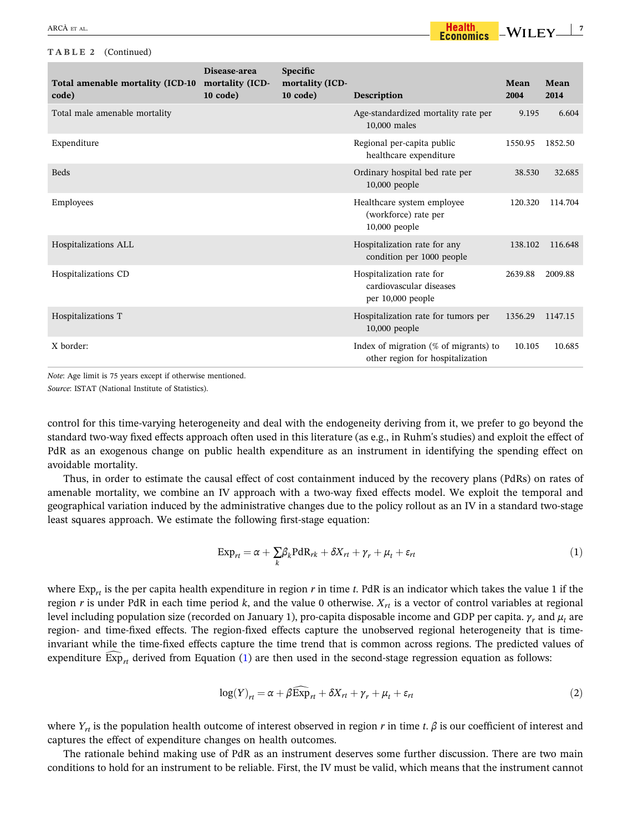### <span id="page-6-0"></span>**TABLE 2** (Continued)

| Total amenable mortality (ICD-10<br>code) | Disease-area<br>mortality (ICD-<br>$10 \text{ code}$ | Specific<br>mortality (ICD-<br>$10 \text{ code}$ | Description                                                                  | Mean<br>2004 | Mean<br>2014 |
|-------------------------------------------|------------------------------------------------------|--------------------------------------------------|------------------------------------------------------------------------------|--------------|--------------|
| Total male amenable mortality             |                                                      |                                                  | Age-standardized mortality rate per<br>10,000 males                          | 9.195        | 6.604        |
| Expenditure                               |                                                      |                                                  | Regional per-capita public<br>healthcare expenditure                         | 1550.95      | 1852.50      |
| <b>Beds</b>                               |                                                      |                                                  | Ordinary hospital bed rate per<br>10,000 people                              | 38.530       | 32.685       |
| Employees                                 |                                                      |                                                  | Healthcare system employee<br>(workforce) rate per<br>$10,000$ people        | 120.320      | 114.704      |
| Hospitalizations ALL                      |                                                      |                                                  | Hospitalization rate for any<br>condition per 1000 people                    | 138.102      | 116.648      |
| Hospitalizations CD                       |                                                      |                                                  | Hospitalization rate for<br>cardiovascular diseases<br>per 10,000 people     | 2639.88      | 2009.88      |
| Hospitalizations T                        |                                                      |                                                  | Hospitalization rate for tumors per<br>$10,000$ people                       | 1356.29      | 1147.15      |
| X border:                                 |                                                      |                                                  | Index of migration $(\%$ of migrants) to<br>other region for hospitalization | 10.105       | 10.685       |

*Note*: Age limit is 75 years except if otherwise mentioned. *Source*: ISTAT (National Institute of Statistics).

control for this time-varying heterogeneity and deal with the endogeneity deriving from it, we prefer to go beyond the standard two‐way fixed effects approach often used in this literature (as e.g., in Ruhm's studies) and exploit the effect of PdR as an exogenous change on public health expenditure as an instrument in identifying the spending effect on avoidable mortality.

Thus, in order to estimate the causal effect of cost containment induced by the recovery plans (PdRs) on rates of amenable mortality, we combine an IV approach with a two-way fixed effects model. We exploit the temporal and geographical variation induced by the administrative changes due to the policy rollout as an IV in a standard two‐stage least squares approach. We estimate the following first‐stage equation:

$$
Exp_{rt} = \alpha + \sum_{k} \beta_{k} PdR_{rk} + \delta X_{rt} + \gamma_{r} + \mu_{t} + \varepsilon_{rt}
$$
\n(1)

where  $Exp_{rr}$  is the per capita health expenditure in region  $r$  in time  $t$ . PdR is an indicator which takes the value 1 if the region *r* is under PdR in each time period *k*, and the value 0 otherwise.  $X_{rt}$  is a vector of control variables at regional level including population size (recorded on January 1), pro‐capita disposable income and GDP per capita. *γr* and *μt* are region- and time-fixed effects. The region-fixed effects capture the unobserved regional heterogeneity that is timeinvariant while the time‐fixed effects capture the time trend that is common across regions. The predicted values of expenditure  $Exp_{rt}$  derived from Equation (1) are then used in the second-stage regression equation as follows:

$$
\log(Y)_{rt} = \alpha + \beta \widehat{\exp}_{rt} + \delta X_{rt} + \gamma_r + \mu_t + \varepsilon_{rt}
$$
\n(2)

where  $Y_{rt}$  is the population health outcome of interest observed in region *r* in time *t*.  $\beta$  is our coefficient of interest and captures the effect of expenditure changes on health outcomes.

The rationale behind making use of PdR as an instrument deserves some further discussion. There are two main conditions to hold for an instrument to be reliable. First, the IV must be valid, which means that the instrument cannot

 $-WILEY \frac{1}{2}$ 

Health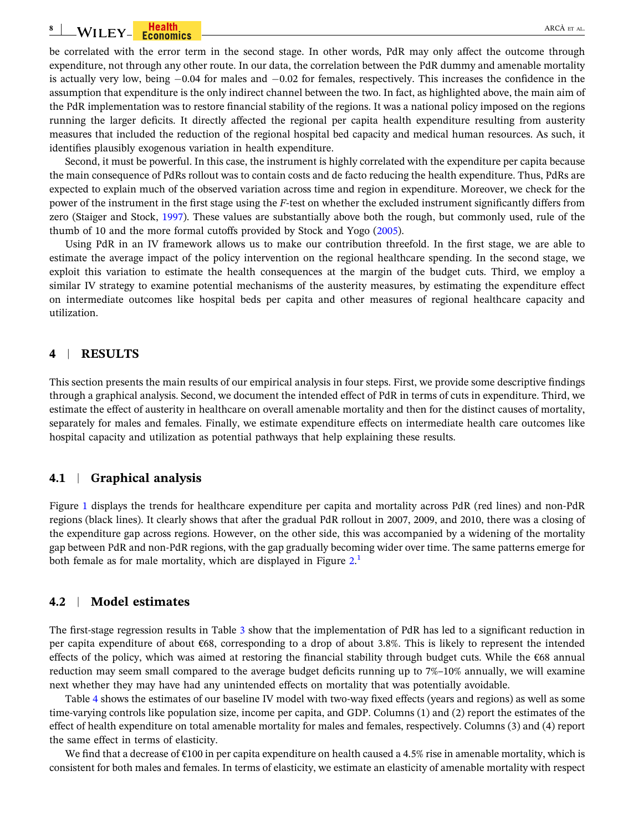#### <span id="page-7-0"></span>**8**  $\text{WII EY}$  **Fealth** are allowing a set  $\text{ARCÅ ET AL}$

be correlated with the error term in the second stage. In other words, PdR may only affect the outcome through expenditure, not through any other route. In our data, the correlation between the PdR dummy and amenable mortality is actually very low, being  $-0.04$  for males and  $-0.02$  for females, respectively. This increases the confidence in the assumption that expenditure is the only indirect channel between the two. In fact, as highlighted above, the main aim of the PdR implementation was to restore financial stability of the regions. It was a national policy imposed on the regions running the larger deficits. It directly affected the regional per capita health expenditure resulting from austerity measures that included the reduction of the regional hospital bed capacity and medical human resources. As such, it identifies plausibly exogenous variation in health expenditure.

Second, it must be powerful. In this case, the instrument is highly correlated with the expenditure per capita because the main consequence of PdRs rollout was to contain costs and de facto reducing the health expenditure. Thus, PdRs are expected to explain much of the observed variation across time and region in expenditure. Moreover, we check for the power of the instrument in the first stage using the *F*‐test on whether the excluded instrument significantly differs from zero (Staiger and Stock, [1997](#page-15-0)). These values are substantially above both the rough, but commonly used, rule of the thumb of 10 and the more formal cutoffs provided by Stock and Yogo ([2005](#page-16-0)).

Using PdR in an IV framework allows us to make our contribution threefold. In the first stage, we are able to estimate the average impact of the policy intervention on the regional healthcare spending. In the second stage, we exploit this variation to estimate the health consequences at the margin of the budget cuts. Third, we employ a similar IV strategy to examine potential mechanisms of the austerity measures, by estimating the expenditure effect on intermediate outcomes like hospital beds per capita and other measures of regional healthcare capacity and utilization.

### **4** <sup>|</sup> **RESULTS**

This section presents the main results of our empirical analysis in four steps. First, we provide some descriptive findings through a graphical analysis. Second, we document the intended effect of PdR in terms of cuts in expenditure. Third, we estimate the effect of austerity in healthcare on overall amenable mortality and then for the distinct causes of mortality, separately for males and females. Finally, we estimate expenditure effects on intermediate health care outcomes like hospital capacity and utilization as potential pathways that help explaining these results.

### **4.1** <sup>|</sup> **Graphical analysis**

Figure [1](#page-8-0) displays the trends for healthcare expenditure per capita and mortality across PdR (red lines) and non-PdR regions (black lines). It clearly shows that after the gradual PdR rollout in 2007, 2009, and 2010, there was a closing of the expenditure gap across regions. However, on the other side, this was accompanied by a widening of the mortality gap between PdR and non‐PdR regions, with the gap gradually becoming wider over time. The same patterns emerge for both female as for male mortality, which are displayed in Figure  $2<sup>1</sup>$  $2<sup>1</sup>$  $2<sup>1</sup>$ 

### **4.2** <sup>|</sup> **Model estimates**

The first-stage regression results in Table [3](#page-9-0) show that the implementation of PdR has led to a significant reduction in per capita expenditure of about €68, corresponding to a drop of about 3.8%. This is likely to represent the intended effects of the policy, which was aimed at restoring the financial stability through budget cuts. While the €68 annual reduction may seem small compared to the average budget deficits running up to 7%–10% annually, we will examine next whether they may have had any unintended effects on mortality that was potentially avoidable.

Table [4](#page-9-0) shows the estimates of our baseline IV model with two-way fixed effects (years and regions) as well as some time‐varying controls like population size, income per capita, and GDP. Columns (1) and (2) report the estimates of the effect of health expenditure on total amenable mortality for males and females, respectively. Columns (3) and (4) report the same effect in terms of elasticity.

We find that a decrease of  $\epsilon$ 100 in per capita expenditure on health caused a 4.5% rise in amenable mortality, which is consistent for both males and females. In terms of elasticity, we estimate an elasticity of amenable mortality with respect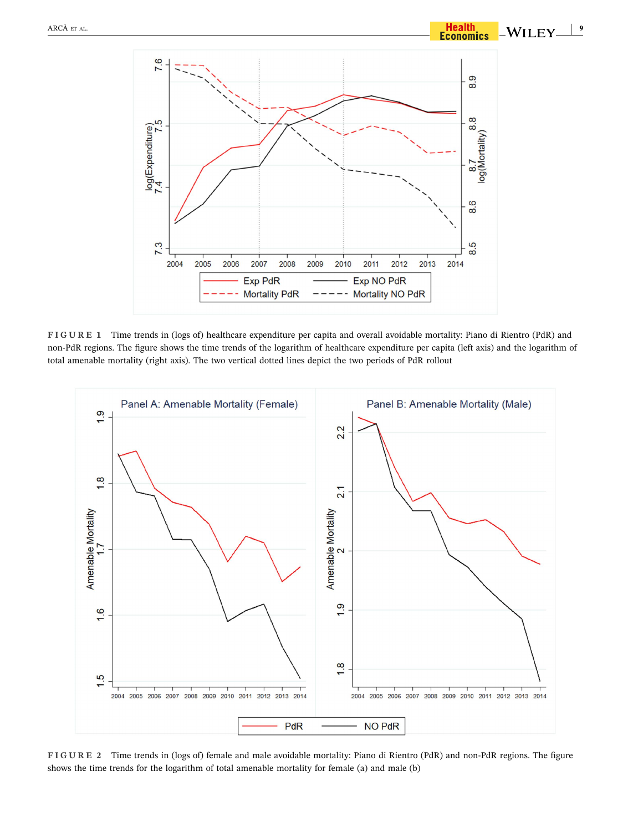<span id="page-8-0"></span>

**FIGURE 1** Time trends in (logs of) healthcare expenditure per capita and overall avoidable mortality: Piano di Rientro (PdR) and non‐PdR regions. The figure shows the time trends of the logarithm of healthcare expenditure per capita (left axis) and the logarithm of total amenable mortality (right axis). The two vertical dotted lines depict the two periods of PdR rollout



**FIGURE 2** Time trends in (logs of) female and male avoidable mortality: Piano di Rientro (PdR) and non‐PdR regions. The figure shows the time trends for the logarithm of total amenable mortality for female (a) and male (b)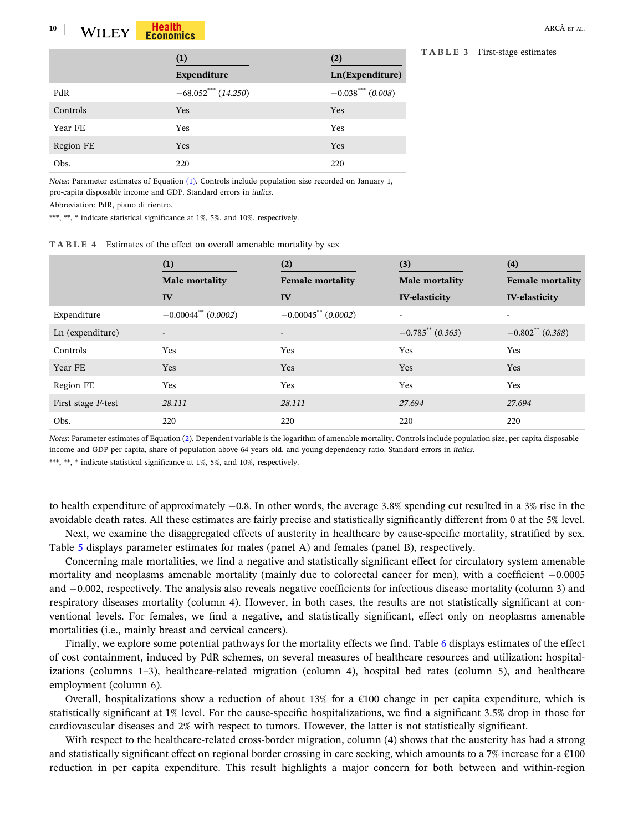<span id="page-9-0"></span>

|           | (1)                   | (2)                  |
|-----------|-----------------------|----------------------|
|           | Expenditure           | Ln(Expenditure)      |
| PdR       | $-68.052***$ (14.250) | $-0.038$ *** (0.008) |
| Controls  | <b>Yes</b>            | <b>Yes</b>           |
| Year FE   | Yes                   | Yes                  |
| Region FE | <b>Yes</b>            | Yes                  |
| Obs.      | 220                   | 220                  |

**TABLE <sup>3</sup>** First‐stage estimates **(1) (2)**

*Notes*: Parameter estimates of Equation [\(1\)](#page-6-0). Controls include population size recorded on January 1, pro‐capita disposable income and GDP. Standard errors in *italics*.

Abbreviation: PdR, piano di rientro.

\*\*\*, \*\*, \* indicate statistical significance at 1%, 5%, and 10%, respectively.

|  |  |  |  |  | <b>TABLE 4</b> Estimates of the effect on overall amenable mortality by sex |  |  |  |  |  |  |  |  |  |  |  |
|--|--|--|--|--|-----------------------------------------------------------------------------|--|--|--|--|--|--|--|--|--|--|--|
|--|--|--|--|--|-----------------------------------------------------------------------------|--|--|--|--|--|--|--|--|--|--|--|

|                    | (1)<br>Male mortality             | $\left( 2\right)$<br><b>Female mortality</b> | (3)<br>Male mortality | (4)<br><b>Female mortality</b> |
|--------------------|-----------------------------------|----------------------------------------------|-----------------------|--------------------------------|
|                    | IV                                | IV                                           | <b>IV-elasticity</b>  | <b>IV-elasticity</b>           |
| Expenditure        | $-0.00044$ <sup>**</sup> (0.0002) | $-0.00045$ ** (0.0002)                       |                       |                                |
| Ln (expenditure)   |                                   | $\overline{\phantom{a}}$                     | $-0.785$ ** (0.363)   | $-0.802^{\ast\ast}$ (0.388)    |
| Controls           | Yes                               | Yes                                          | Yes                   | Yes                            |
| Year FE            | Yes                               | <b>Yes</b>                                   | Yes                   | Yes                            |
| Region FE          | Yes                               | Yes                                          | Yes                   | Yes                            |
| First stage F-test | 28.111                            | 28.111                                       | 27.694                | 27.694                         |
| Obs.               | 220                               | 220                                          | 220                   | 220                            |

*Notes*: Parameter estimates of Equation [\(2\)](#page-6-0). Dependent variable is the logarithm of amenable mortality. Controls include population size, per capita disposable income and GDP per capita, share of population above 64 years old, and young dependency ratio. Standard errors in *italics*.

\*\*\*, \*\*, \* indicate statistical significance at 1%, 5%, and 10%, respectively.

to health expenditure of approximately  $-0.8$ . In other words, the average 3.8% spending cut resulted in a 3% rise in the avoidable death rates. All these estimates are fairly precise and statistically significantly different from 0 at the 5% level.

Next, we examine the disaggregated effects of austerity in healthcare by cause‐specific mortality, stratified by sex. Table [5](#page-10-0) displays parameter estimates for males (panel A) and females (panel B), respectively.

Concerning male mortalities, we find a negative and statistically significant effect for circulatory system amenable mortality and neoplasms amenable mortality (mainly due to colorectal cancer for men), with a coefficient  $-0.0005$ and  $-0.002$ , respectively. The analysis also reveals negative coefficients for infectious disease mortality (column 3) and respiratory diseases mortality (column 4). However, in both cases, the results are not statistically significant at conventional levels. For females, we find a negative, and statistically significant, effect only on neoplasms amenable mortalities (i.e., mainly breast and cervical cancers).

Finally, we explore some potential pathways for the mortality effects we find. Table [6](#page-10-0) displays estimates of the effect of cost containment, induced by PdR schemes, on several measures of healthcare resources and utilization: hospitalizations (columns 1–3), healthcare-related migration (column 4), hospital bed rates (column 5), and healthcare employment (column 6).

Overall, hospitalizations show a reduction of about 13% for a  $\epsilon$ 100 change in per capita expenditure, which is statistically significant at 1% level. For the cause‐specific hospitalizations, we find a significant 3.5% drop in those for cardiovascular diseases and 2% with respect to tumors. However, the latter is not statistically significant.

With respect to the healthcare-related cross-border migration, column (4) shows that the austerity has had a strong and statistically significant effect on regional border crossing in care seeking, which amounts to a 7% increase for a  $\epsilon$ 100 reduction in per capita expenditure. This result highlights a major concern for both between and within‐region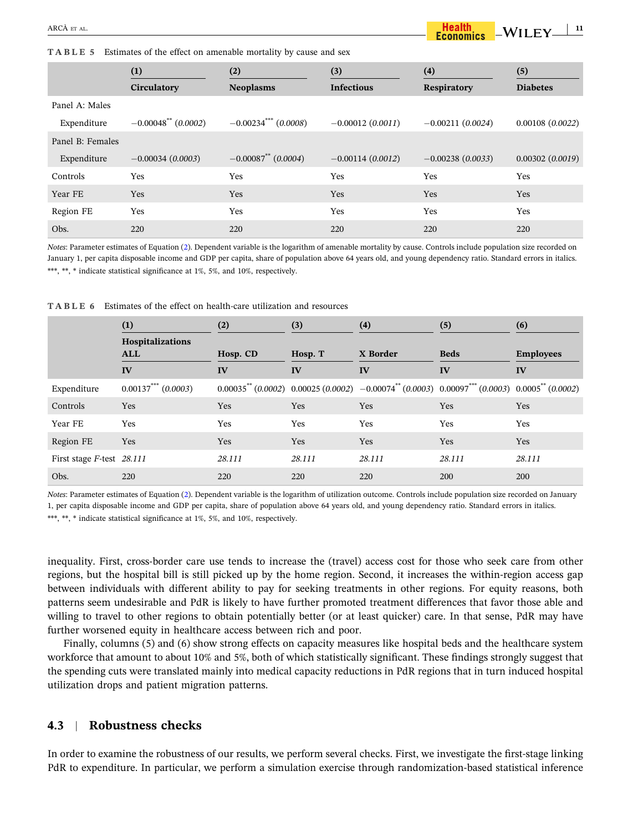<span id="page-10-0"></span>**TABLE 5** Estimates of the effect on amenable mortality by cause and sex

|                                 | (1)<br>Circulatory                | (2)<br><b>Neoplasms</b> | (3)<br><b>Infectious</b> | (4)<br><b>Respiratory</b> | (5)<br><b>Diabetes</b> |
|---------------------------------|-----------------------------------|-------------------------|--------------------------|---------------------------|------------------------|
| Panel A: Males<br>Expenditure   | $-0.00048$ <sup>**</sup> (0.0002) | $-0.00234$ *** (0.0008) | $-0.00012(0.0011)$       | $-0.00211(0.0024)$        | 0.00108(0.0022)        |
| Panel B: Females<br>Expenditure | $-0.00034(0.0003)$                | $-0.00087$ (0.0004)     | $-0.00114(0.0012)$       | $-0.00238(0.0033)$        | 0.00302(0.0019)        |
| Controls                        | Yes                               | Yes                     | Yes                      | Yes                       | Yes                    |
| Year FE                         | <b>Yes</b>                        | <b>Yes</b>              | Yes                      | Yes                       | <b>Yes</b>             |
| Region FE                       | Yes                               | Yes                     | Yes                      | Yes                       | Yes                    |
| Obs.                            | 220                               | 220                     | 220                      | 220                       | 220                    |

*Notes*: Parameter estimates of Equation ([2\)](#page-6-0). Dependent variable is the logarithm of amenable mortality by cause. Controls include population size recorded on January 1, per capita disposable income and GDP per capita, share of population above 64 years old, and young dependency ratio. Standard errors in italics. \*\*\*, \*\*, \* indicate statistical significance at 1%, 5%, and 10%, respectively.

**TABLE 6** Estimates of the effect on health‐care utilization and resources

|                           | (1)                                   | (2)      | (3)        | (4)                                                                                                                 | (5)         | (6)              |
|---------------------------|---------------------------------------|----------|------------|---------------------------------------------------------------------------------------------------------------------|-------------|------------------|
|                           | <b>Hospitalizations</b><br><b>ALL</b> | Hosp. CD | Hosp. T    | X Border                                                                                                            | <b>Beds</b> | <b>Employees</b> |
|                           | IV                                    | IV       | IV         | IV                                                                                                                  | IV          | IV               |
| Expenditure               | $0.00137***$ $(0.0003)$               |          |            | $0.00035^{**}$ (0.0002) $0.00025$ (0.0002) $-0.00074^{**}$ (0.0003) $0.00097^{***}$ (0.0003) $0.0005^{**}$ (0.0002) |             |                  |
| <b>Controls</b>           | Yes                                   | Yes      | <b>Yes</b> | <b>Yes</b>                                                                                                          | Yes         | Yes              |
| Year FE                   | Yes                                   | Yes      | <b>Yes</b> | Yes                                                                                                                 | Yes         | <b>Yes</b>       |
| Region FE                 | Yes                                   | Yes      | <b>Yes</b> | <b>Yes</b>                                                                                                          | Yes         | <b>Yes</b>       |
| First stage F-test 28.111 |                                       | 28.111   | 28.111     | 28.111                                                                                                              | 28.111      | 28.111           |
| Obs.                      | 220                                   | 220      | 220        | 220                                                                                                                 | 200         | <b>200</b>       |

*Notes*: Parameter estimates of Equation [\(2](#page-6-0)). Dependent variable is the logarithm of utilization outcome. Controls include population size recorded on January 1, per capita disposable income and GDP per capita, share of population above 64 years old, and young dependency ratio. Standard errors in italics. \*\*\*, \*\*, \* indicate statistical significance at 1%, 5%, and 10%, respectively.

inequality. First, cross‐border care use tends to increase the (travel) access cost for those who seek care from other regions, but the hospital bill is still picked up by the home region. Second, it increases the within‐region access gap between individuals with different ability to pay for seeking treatments in other regions. For equity reasons, both patterns seem undesirable and PdR is likely to have further promoted treatment differences that favor those able and willing to travel to other regions to obtain potentially better (or at least quicker) care. In that sense, PdR may have further worsened equity in healthcare access between rich and poor.

Finally, columns (5) and (6) show strong effects on capacity measures like hospital beds and the healthcare system workforce that amount to about 10% and 5%, both of which statistically significant. These findings strongly suggest that the spending cuts were translated mainly into medical capacity reductions in PdR regions that in turn induced hospital utilization drops and patient migration patterns.

### **4.3** <sup>|</sup> **Robustness checks**

In order to examine the robustness of our results, we perform several checks. First, we investigate the first-stage linking PdR to expenditure. In particular, we perform a simulation exercise through randomization-based statistical inference

 $-WILEY$ <sup>11</sup>

Health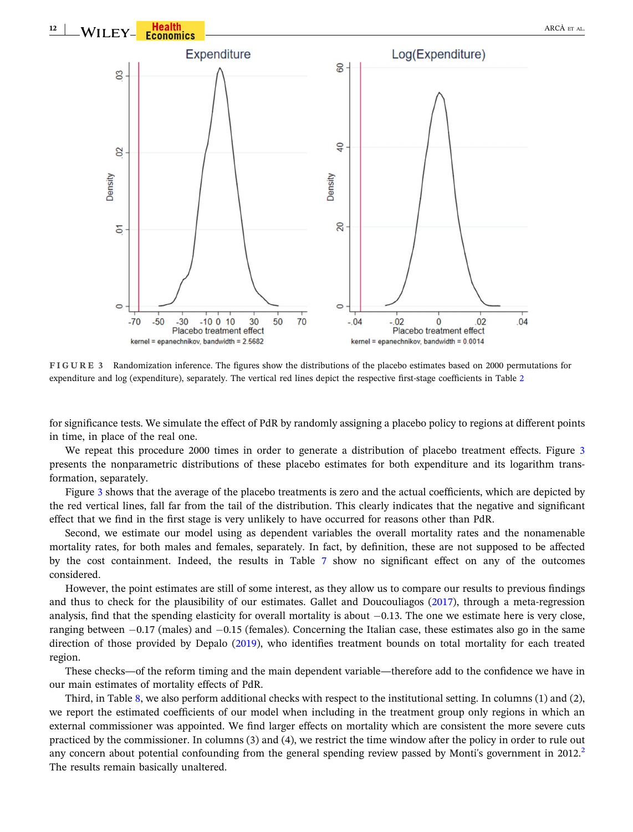

**FIGURE 3** Randomization inference. The figures show the distributions of the placebo estimates based on 2000 permutations for expenditure and log (expenditure), separately. The vertical red lines depict the respective first-stage coefficients in Table [2](#page-5-0)

for significance tests. We simulate the effect of PdR by randomly assigning a placebo policy to regions at different points in time, in place of the real one.

We repeat this procedure 2000 times in order to generate a distribution of placebo treatment effects. Figure 3 presents the nonparametric distributions of these placebo estimates for both expenditure and its logarithm transformation, separately.

Figure 3 shows that the average of the placebo treatments is zero and the actual coefficients, which are depicted by the red vertical lines, fall far from the tail of the distribution. This clearly indicates that the negative and significant effect that we find in the first stage is very unlikely to have occurred for reasons other than PdR.

Second, we estimate our model using as dependent variables the overall mortality rates and the nonamenable mortality rates, for both males and females, separately. In fact, by definition, these are not supposed to be affected by the cost containment. Indeed, the results in Table [7](#page-12-0) show no significant effect on any of the outcomes considered.

However, the point estimates are still of some interest, as they allow us to compare our results to previous findings and thus to check for the plausibility of our estimates. Gallet and Doucouliagos [\(2017](#page-15-0)), through a meta-regression analysis, find that the spending elasticity for overall mortality is about  $-0.13$ . The one we estimate here is very close, ranging between  $-0.17$  (males) and  $-0.15$  (females). Concerning the Italian case, these estimates also go in the same direction of those provided by Depalo ([2019\)](#page-14-0), who identifies treatment bounds on total mortality for each treated region.

These checks—of the reform timing and the main dependent variable—therefore add to the confidence we have in our main estimates of mortality effects of PdR.

Third, in Table [8](#page-12-0), we also perform additional checks with respect to the institutional setting. In columns (1) and (2), we report the estimated coefficients of our model when including in the treatment group only regions in which an external commissioner was appointed. We find larger effects on mortality which are consistent the more severe cuts practiced by the commissioner. In columns (3) and (4), we restrict the time window after the policy in order to rule out any concern about potential confounding from the general spending review passed by Monti's government in  $2012<sup>2</sup>$  $2012<sup>2</sup>$ The results remain basically unaltered.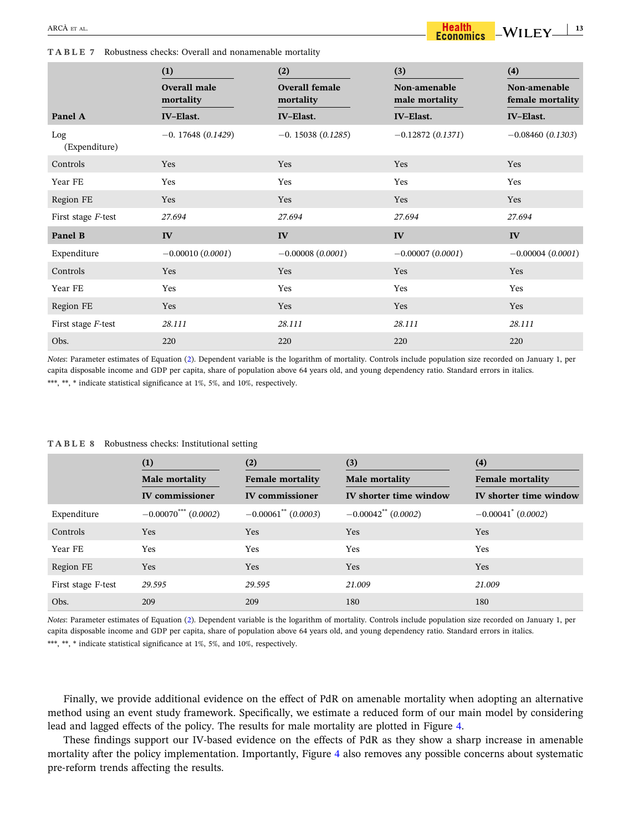<span id="page-12-0"></span>**TABLE 7** Robustness checks: Overall and nonamenable mortality

|                      | (1)                       | (2)                                | (3)                            | (4)                              |
|----------------------|---------------------------|------------------------------------|--------------------------------|----------------------------------|
|                      | Overall male<br>mortality | <b>Overall female</b><br>mortality | Non-amenable<br>male mortality | Non-amenable<br>female mortality |
| Panel A              | <b>IV-Elast.</b>          | <b>IV-Elast.</b>                   | <b>IV-Elast.</b>               | <b>IV-Elast.</b>                 |
| Log<br>(Expenditure) | $-0.17648(0.1429)$        | $-0.15038(0.1285)$                 | $-0.12872(0.1371)$             | $-0.08460(0.1303)$               |
| Controls             | Yes                       | Yes                                | Yes                            | Yes                              |
| Year FE              | Yes                       | Yes                                | Yes                            | Yes                              |
| Region FE            | Yes                       | Yes                                | Yes                            | Yes                              |
| First stage F-test   | 27.694                    | 27.694                             | 27.694                         | 27.694                           |
| Panel B              | IV                        | IV                                 | IV                             | IV                               |
| Expenditure          | $-0.00010(0.0001)$        | $-0.00008(0.0001)$                 | $-0.00007(0.0001)$             | $-0.00004(0.0001)$               |
| Controls             | Yes                       | Yes                                | Yes                            | Yes                              |
| Year FE              | Yes                       | Yes                                | Yes                            | Yes                              |
| Region FE            | Yes                       | Yes                                | Yes                            | Yes                              |
| First stage F-test   | 28.111                    | 28.111                             | 28.111                         | 28.111                           |
| Obs.                 | 220                       | 220                                | 220                            | 220                              |

*Notes*: Parameter estimates of Equation [\(2\)](#page-6-0). Dependent variable is the logarithm of mortality. Controls include population size recorded on January 1, per capita disposable income and GDP per capita, share of population above 64 years old, and young dependency ratio. Standard errors in italics. \*\*\*, \*\*, \* indicate statistical significance at 1%, 5%, and 10%, respectively.

**TABLE 8** Robustness checks: Institutional setting

|                    | (1)<br>Male mortality              | (2)<br><b>Female mortality</b>    | (3)<br><b>Male mortality</b>   | (4)<br><b>Female mortality</b> |
|--------------------|------------------------------------|-----------------------------------|--------------------------------|--------------------------------|
|                    | <b>IV</b> commissioner             | <b>IV</b> commissioner            | IV shorter time window         | IV shorter time window         |
| Expenditure        | $-0.00070$ <sup>***</sup> (0.0002) | $-0.00061$ <sup>**</sup> (0.0003) | $-0.00042^{\ast\ast}$ (0.0002) | $-0.00041^*$ (0.0002)          |
| Controls           | <b>Yes</b>                         | Yes                               | Yes                            | Yes                            |
| Year FE            | Yes                                | Yes                               | Yes                            | Yes                            |
| Region FE          | <b>Yes</b>                         | Yes                               | Yes                            | Yes                            |
| First stage F-test | 29.595                             | 29.595                            | 21.009                         | 21.009                         |
| Obs.               | 209                                | 209                               | 180                            | 180                            |

*Notes*: Parameter estimates of Equation [\(2\)](#page-6-0). Dependent variable is the logarithm of mortality. Controls include population size recorded on January 1, per capita disposable income and GDP per capita, share of population above 64 years old, and young dependency ratio. Standard errors in italics. \*\*\*, \*\*, \* indicate statistical significance at 1%, 5%, and 10%, respectively.

Finally, we provide additional evidence on the effect of PdR on amenable mortality when adopting an alternative method using an event study framework. Specifically, we estimate a reduced form of our main model by considering lead and lagged effects of the policy. The results for male mortality are plotted in Figure [4](#page-13-0).

These findings support our IV‐based evidence on the effects of PdR as they show a sharp increase in amenable mortality after the policy implementation. Importantly, Figure [4](#page-13-0) also removes any possible concerns about systematic pre‐reform trends affecting the results.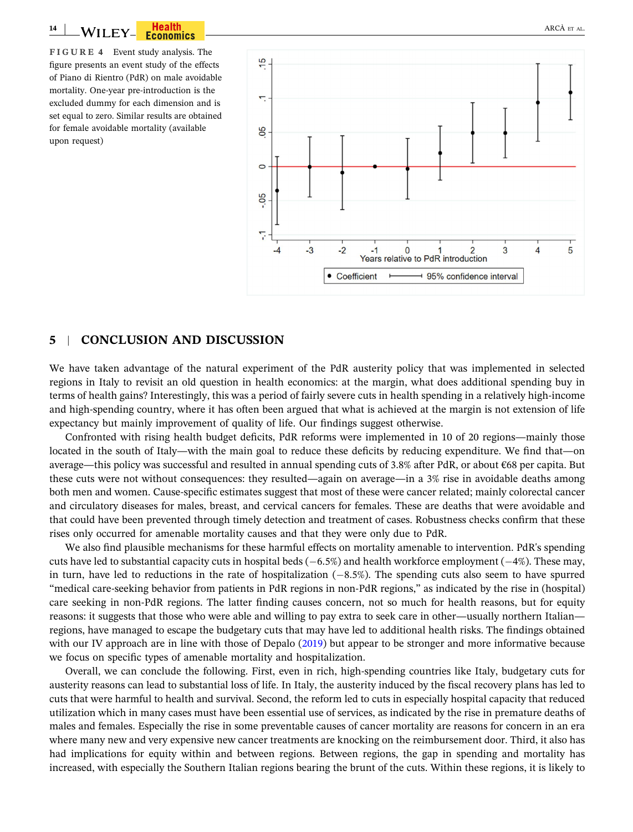<span id="page-13-0"></span>**FIGURE 4** Event study analysis. The figure presents an event study of the effects of Piano di Rientro (PdR) on male avoidable mortality. One‐year pre‐introduction is the excluded dummy for each dimension and is set equal to zero. Similar results are obtained for female avoidable mortality (available upon request)



### **5** <sup>|</sup> **CONCLUSION AND DISCUSSION**

We have taken advantage of the natural experiment of the PdR austerity policy that was implemented in selected regions in Italy to revisit an old question in health economics: at the margin, what does additional spending buy in terms of health gains? Interestingly, this was a period of fairly severe cuts in health spending in a relatively high‐income and high-spending country, where it has often been argued that what is achieved at the margin is not extension of life expectancy but mainly improvement of quality of life. Our findings suggest otherwise.

Confronted with rising health budget deficits, PdR reforms were implemented in 10 of 20 regions—mainly those located in the south of Italy—with the main goal to reduce these deficits by reducing expenditure. We find that—on average—this policy was successful and resulted in annual spending cuts of 3.8% after PdR, or about €68 per capita. But these cuts were not without consequences: they resulted—again on average—in a 3% rise in avoidable deaths among both men and women. Cause-specific estimates suggest that most of these were cancer related; mainly colorectal cancer and circulatory diseases for males, breast, and cervical cancers for females. These are deaths that were avoidable and that could have been prevented through timely detection and treatment of cases. Robustness checks confirm that these rises only occurred for amenable mortality causes and that they were only due to PdR.

We also find plausible mechanisms for these harmful effects on mortality amenable to intervention. PdR's spending cuts have led to substantial capacity cuts in hospital beds  $(-6.5%)$  and health workforce employment  $(-4%)$ . These may, in turn, have led to reductions in the rate of hospitalization  $(-8.5\%)$ . The spending cuts also seem to have spurred "medical care‐seeking behavior from patients in PdR regions in non‐PdR regions," as indicated by the rise in (hospital) care seeking in non-PdR regions. The latter finding causes concern, not so much for health reasons, but for equity reasons: it suggests that those who were able and willing to pay extra to seek care in other—usually northern Italian regions, have managed to escape the budgetary cuts that may have led to additional health risks. The findings obtained with our IV approach are in line with those of Depalo [\(2019\)](#page-14-0) but appear to be stronger and more informative because we focus on specific types of amenable mortality and hospitalization.

Overall, we can conclude the following. First, even in rich, high‐spending countries like Italy, budgetary cuts for austerity reasons can lead to substantial loss of life. In Italy, the austerity induced by the fiscal recovery plans has led to cuts that were harmful to health and survival. Second, the reform led to cuts in especially hospital capacity that reduced utilization which in many cases must have been essential use of services, as indicated by the rise in premature deaths of males and females. Especially the rise in some preventable causes of cancer mortality are reasons for concern in an era where many new and very expensive new cancer treatments are knocking on the reimbursement door. Third, it also has had implications for equity within and between regions. Between regions, the gap in spending and mortality has increased, with especially the Southern Italian regions bearing the brunt of the cuts. Within these regions, it is likely to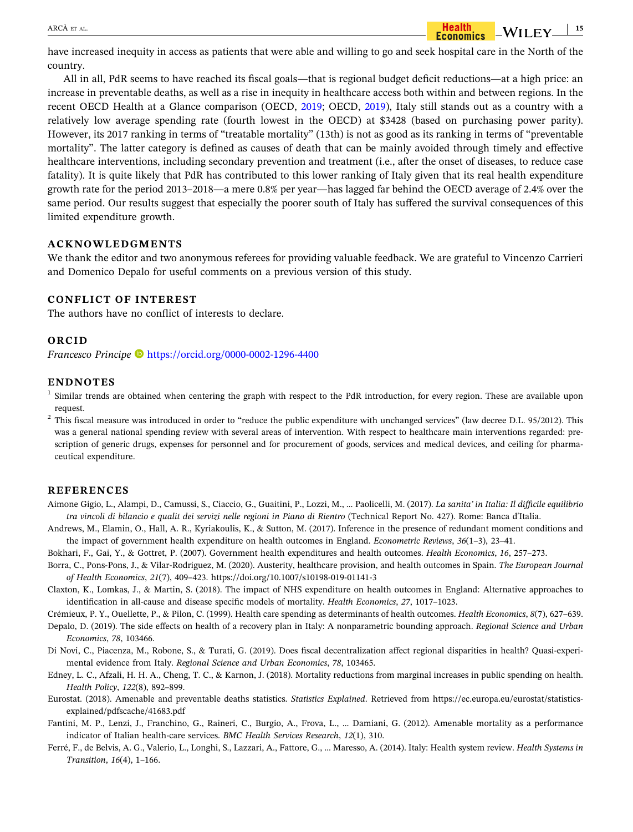

<span id="page-14-0"></span>have increased inequity in access as patients that were able and willing to go and seek hospital care in the North of the country.

All in all, PdR seems to have reached its fiscal goals—that is regional budget deficit reductions—at a high price: an increase in preventable deaths, as well as a rise in inequity in healthcare access both within and between regions. In the recent OECD Health at a Glance comparison (OECD, [2019](#page-15-0); OECD, [2019\)](#page-15-0), Italy still stands out as a country with a relatively low average spending rate (fourth lowest in the OECD) at \$3428 (based on purchasing power parity). However, its 2017 ranking in terms of "treatable mortality" (13th) is not as good as its ranking in terms of "preventable mortality". The latter category is defined as causes of death that can be mainly avoided through timely and effective healthcare interventions, including secondary prevention and treatment (i.e., after the onset of diseases, to reduce case fatality). It is quite likely that PdR has contributed to this lower ranking of Italy given that its real health expenditure growth rate for the period 2013–2018—a mere 0.8% per year—has lagged far behind the OECD average of 2.4% over the same period. Our results suggest that especially the poorer south of Italy has suffered the survival consequences of this limited expenditure growth.

### **ACKNOWLEDGMENTS**

We thank the editor and two anonymous referees for providing valuable feedback. We are grateful to Vincenzo Carrieri and Domenico Depalo for useful comments on a previous version of this study.

### **CONFLICT OF INTEREST**

The authors have no conflict of interests to declare.

### **ORCID**

*Francesco Principe* <https://orcid.org/0000-0002-1296-4400>

### **ENDNOTES**

<sup>1</sup> Similar trends are obtained when centering the graph with respect to the PdR introduction, for every region. These are available upon request.

 $2$  This fiscal measure was introduced in order to "reduce the public expenditure with unchanged services" (law decree D.L. 95/2012). This was a general national spending review with several areas of intervention. With respect to healthcare main interventions regarded: prescription of generic drugs, expenses for personnel and for procurement of goods, services and medical devices, and ceiling for pharmaceutical expenditure.

### **REFERENCES**

- Aimone Gigio, L., Alampi, D., Camussi, S., Ciaccio, G., Guaitini, P., Lozzi, M., … Paolicelli, M. (2017). *La sanita' in Italia: Il difficile equilibrio* tra vincoli di bilancio e qualit dei servizi nelle regioni in Piano di Rientro (Technical Report No. 427). Rome: Banca d'Italia.
- Andrews, M., Elamin, O., Hall, A. R., Kyriakoulis, K., & Sutton, M. (2017). Inference in the presence of redundant moment conditions and the impact of government health expenditure on health outcomes in England. *Econometric Reviews*, *36*(1–3), 23–41.
- Bokhari, F., Gai, Y., & Gottret, P. (2007). Government health expenditures and health outcomes. *Health Economics*, *16*, 257–273.
- Borra, C., Pons‐Pons, J., & Vilar‐Rodriguez, M. (2020). Austerity, healthcare provision, and health outcomes in Spain. *The European Journal of Health Economics*, *21*(7), 409–423. <https://doi.org/10.1007/s10198-019-01141-3>
- Claxton, K., Lomkas, J., & Martin, S. (2018). The impact of NHS expenditure on health outcomes in England: Alternative approaches to identification in all‐cause and disease specific models of mortality. *Health Economics*, *27*, 1017–1023.

Crémieux, P. Y., Ouellette, P., & Pilon, C. (1999). Health care spending as determinants of health outcomes. *Health Economics*, *8*(7), 627–639.

- Depalo, D. (2019). The side effects on health of a recovery plan in Italy: A nonparametric bounding approach. *Regional Science and Urban Economics*, *78*, 103466.
- Di Novi, C., Piacenza, M., Robone, S., & Turati, G. (2019). Does fiscal decentralization affect regional disparities in health? Quasi‐experimental evidence from Italy. *Regional Science and Urban Economics*, *78*, 103465.
- Edney, L. C., Afzali, H. H. A., Cheng, T. C., & Karnon, J. (2018). Mortality reductions from marginal increases in public spending on health. *Health Policy*, *122*(8), 892–899.
- Eurostat. (2018). Amenable and preventable deaths statistics. *Statistics Explained*. Retrieved from [https://ec.europa.eu/eurostat/statistics](https://ec.europa.eu/eurostat/statistics-explained/pdfscache/41683.pdf)[explained/pdfscache/41683.pdf](https://ec.europa.eu/eurostat/statistics-explained/pdfscache/41683.pdf)
- Fantini, M. P., Lenzi, J., Franchino, G., Raineri, C., Burgio, A., Frova, L., … Damiani, G. (2012). Amenable mortality as a performance indicator of Italian health‐care services. *BMC Health Services Research*, *12*(1), 310.
- Ferré, F., de Belvis, A. G., Valerio, L., Longhi, S., Lazzari, A., Fattore, G., … Maresso, A. (2014). Italy: Health system review. *Health Systems in Transition*, *16*(4), 1–166.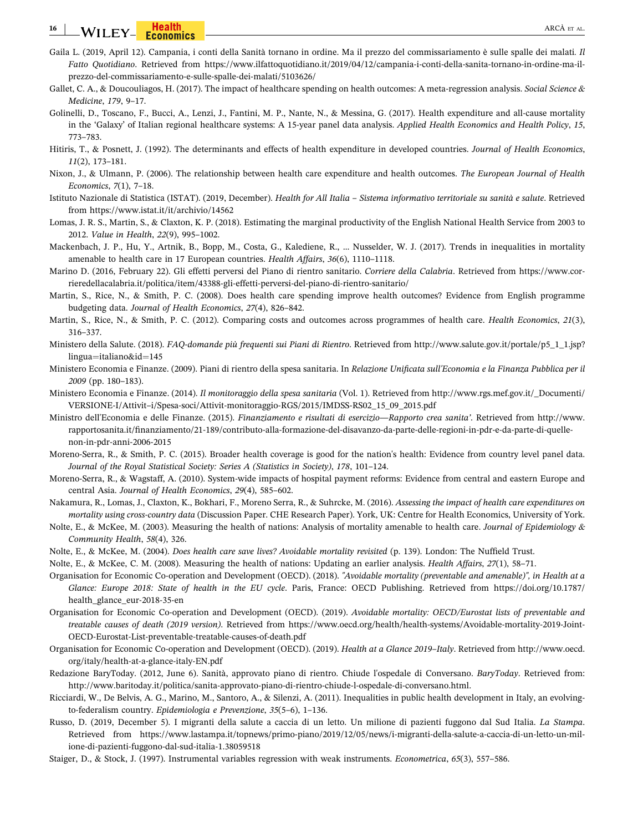#### <span id="page-15-0"></span>**16** WILEY-COMMICS COMMICS COMMICS CONTROL CONTROL CONTROL ARCÀ ET AL.

- Gaila L. (2019, April 12). Campania, i conti della Sanità tornano in ordine. Ma il prezzo del commissariamento è sulle spalle dei malati*. Il Fatto Quotidiano*. Retrieved from [https://www.ilfattoquotidiano.it/2019/04/12/campania-i-conti-della-sanita-tornano-in-ordine-ma-il](https://www.ilfattoquotidiano.it/2019/04/12/campania-i-conti-della-sanita-tornano-in-ordine-ma-il-prezzo-del-commissariamento-e-sulle-spalle-dei-malati/5103626/)[prezzo-del-commissariamento-e-sulle-spalle-dei-malati/5103626/](https://www.ilfattoquotidiano.it/2019/04/12/campania-i-conti-della-sanita-tornano-in-ordine-ma-il-prezzo-del-commissariamento-e-sulle-spalle-dei-malati/5103626/)
- Gallet, C. A., & Doucouliagos, H. (2017). The impact of healthcare spending on health outcomes: A meta‐regression analysis. *Social Science & Medicine*, *179*, 9–17.
- Golinelli, D., Toscano, F., Bucci, A., Lenzi, J., Fantini, M. P., Nante, N., & Messina, G. (2017). Health expenditure and all‐cause mortality in the 'Galaxy' of Italian regional healthcare systems: A 15‐year panel data analysis. *Applied Health Economics and Health Policy*, *15*, 773–783.
- Hitiris, T., & Posnett, J. (1992). The determinants and effects of health expenditure in developed countries. *Journal of Health Economics*, *11*(2), 173–181.
- Nixon, J., & Ulmann, P. (2006). The relationship between health care expenditure and health outcomes. *The European Journal of Health Economics*, *7*(1), 7–18.
- Istituto Nazionale di Statistica (ISTAT). (2019, December). Health for All Italia Sistema informativo territoriale su sanità e salute. Retrieved from <https://www.istat.it/it/archivio/14562>
- Lomas, J. R. S., Martin, S., & Claxton, K. P. (2018). Estimating the marginal productivity of the English National Health Service from 2003 to 2012. *Value in Health*, *22*(9), 995–1002.
- Mackenbach, J. P., Hu, Y., Artnik, B., Bopp, M., Costa, G., Kalediene, R., … Nusselder, W. J. (2017). Trends in inequalities in mortality amenable to health care in 17 European countries. *Health Affairs*, *36*(6), 1110–1118.
- Marino D. (2016, February 22). Gli effetti perversi del Piano di rientro sanitario. *Corriere della Calabria*. Retrieved from [https://www.cor](https://www.corrieredellacalabria.it/politica/item/43388-gli-effetti-perversi-del-piano-di-rientro-sanitario/)[rieredellacalabria.it/politica/item/43388-gli-effetti-perversi-del-piano-di-rientro-sanitario/](https://www.corrieredellacalabria.it/politica/item/43388-gli-effetti-perversi-del-piano-di-rientro-sanitario/)
- Martin, S., Rice, N., & Smith, P. C. (2008). Does health care spending improve health outcomes? Evidence from English programme budgeting data. *Journal of Health Economics*, *27*(4), 826–842.
- Martin, S., Rice, N., & Smith, P. C. (2012). Comparing costs and outcomes across programmes of health care. *Health Economics*, *21*(3), 316–337.
- Ministero della Salute. (2018). *FAQ‐domande più frequenti sui Piani di Rientro*. Retrieved from [http://www.salute.gov.it/portale/p5\\_1\\_1.jsp?](http://www.salute.gov.it/portale/p5_1_1.jsp?lingua=italiano%26id=145) lingua=[italiano&id](http://www.salute.gov.it/portale/p5_1_1.jsp?lingua=italiano%26id=145)=145
- Ministero Economia e Finanze. (2009). Piani di rientro della spesa sanitaria. In *Relazione Unificata sull'Economia e la Finanza Pubblica per il 2009* (pp. 180–183).
- Ministero Economia e Finanze. (2014). *Il monitoraggio della spesa sanitaria* (Vol. 1). Retrieved from [http://www.rgs.mef.gov.it/\\_Documenti/](http://www.rgs.mef.gov.it/_Documenti/VERSIONE-I/Attivit%2013i/Spesa-soci/Attivit-monitoraggio-RGS/2015/IMDSS-RS02_15_09_2015.pdf) [VERSIONE-I/Attivit–i/Spesa-soci/Attivit-monitoraggio-RGS/2015/IMDSS-RS02\\_15\\_09\\_2015.pdf](http://www.rgs.mef.gov.it/_Documenti/VERSIONE-I/Attivit%2013i/Spesa-soci/Attivit-monitoraggio-RGS/2015/IMDSS-RS02_15_09_2015.pdf)
- Ministro dell'Economia e delle Finanze. (2015). *Finanziamento e risultati di esercizio—Rapporto crea sanita'*. Retrieved from [http://www.](http://www.rapportosanita.it/finanziamento/21-189/contributo-alla-formazione-del-disavanzo-da-parte-delle-regioni-in-pdr-e-da-parte-di-quelle-non-in-pdr-anni-2006-2015) [rapportosanita.it/finanziamento/21-189/contributo-alla-formazione-del-disavanzo-da-parte-delle-regioni-in-pdr-e-da-parte-di-quelle](http://www.rapportosanita.it/finanziamento/21-189/contributo-alla-formazione-del-disavanzo-da-parte-delle-regioni-in-pdr-e-da-parte-di-quelle-non-in-pdr-anni-2006-2015)[non-in-pdr-anni-2006-2015](http://www.rapportosanita.it/finanziamento/21-189/contributo-alla-formazione-del-disavanzo-da-parte-delle-regioni-in-pdr-e-da-parte-di-quelle-non-in-pdr-anni-2006-2015)
- Moreno‐Serra, R., & Smith, P. C. (2015). Broader health coverage is good for the nation's health: Evidence from country level panel data. *Journal of the Royal Statistical Society: Series A (Statistics in Society)*, *178*, 101–124.
- Moreno-Serra, R., & Wagstaff, A. (2010). System-wide impacts of hospital payment reforms: Evidence from central and eastern Europe and central Asia. *Journal of Health Economics*, *29*(4), 585–602.
- Nakamura, R., Lomas, J., Claxton, K., Bokhari, F., Moreno Serra, R., & Suhrcke, M. (2016). *Assessing the impact of health care expenditures on mortality using cross‐country data* (Discussion Paper. CHE Research Paper). York, UK: Centre for Health Economics, University of York.
- Nolte, E., & McKee, M. (2003). Measuring the health of nations: Analysis of mortality amenable to health care. *Journal of Epidemiology & Community Health*, *58*(4), 326.
- Nolte, E., & McKee, M. (2004). *Does health care save lives? Avoidable mortality revisited* (p. 139). London: The Nuffield Trust.
- Nolte, E., & McKee, C. M. (2008). Measuring the health of nations: Updating an earlier analysis. *Health Affairs*, *27*(1), 58–71.
- Organisation for Economic Co‐operation and Development (OECD). (2018). *"Avoidable mortality (preventable and amenable)", in Health at a Glance: Europe 2018: State of health in the EU cycle*. Paris, France: OECD Publishing. Retrieved from [https://doi.org/10.1787/](https://doi.org/10.1787/health_glance_eur-2018-35-en) [health\\_glance\\_eur-2018-35-en](https://doi.org/10.1787/health_glance_eur-2018-35-en)
- Organisation for Economic Co‐operation and Development (OECD). (2019). *Avoidable mortality: OECD/Eurostat lists of preventable and treatable causes of death (2019 version)*. Retrieved from [https://www.oecd.org/health/health-systems/Avoidable-mortality-2019-Joint-](https://www.oecd.org/health/health-systems/Avoidable-mortality-2019-Joint-OECD-Eurostat-List-preventable-treatable-causes-of-death.pdf)[OECD-Eurostat-List-preventable-treatable-causes-of-death.pdf](https://www.oecd.org/health/health-systems/Avoidable-mortality-2019-Joint-OECD-Eurostat-List-preventable-treatable-causes-of-death.pdf)
- Organisation for Economic Co‐operation and Development (OECD). (2019). *Health at a Glance 2019–Italy*. Retrieved from [http://www.oecd.](http://www.oecd.org/italy/health-at-a-glance-italy-EN.pdf) [org/italy/health-at-a-glance-italy-EN.pdf](http://www.oecd.org/italy/health-at-a-glance-italy-EN.pdf)
- Redazione BaryToday. (2012, June 6). Sanità, approvato piano di rientro. Chiude l'ospedale di Conversano. *BaryToday*. Retrieved from: <http://www.baritoday.it/politica/sanita-approvato-piano-di-rientro-chiude-l-ospedale-di-conversano.html>.
- Ricciardi, W., De Belvis, A. G., Marino, M., Santoro, A., & Silenzi, A. (2011). Inequalities in public health development in Italy, an evolving‐ to‐federalism country. *Epidemiologia e Prevenzione*, *35*(5–6), 1–136.
- Russo, D. (2019, December 5). I migranti della salute a caccia di un letto. Un milione di pazienti fuggono dal Sud Italia. *La Stampa*. Retrieved from [https://www.lastampa.it/topnews/primo-piano/2019/12/05/news/i-migranti-della-salute-a-caccia-di-un-letto-un-mil](https://www.lastampa.it/topnews/primo-piano/2019/12/05/news/i-migranti-della-salute-a-caccia-di-un-letto-un-milione-di-pazienti-fuggono-dal-sud-italia-1.38059518)[ione-di-pazienti-fuggono-dal-sud-italia-1.38059518](https://www.lastampa.it/topnews/primo-piano/2019/12/05/news/i-migranti-della-salute-a-caccia-di-un-letto-un-milione-di-pazienti-fuggono-dal-sud-italia-1.38059518)
- Staiger, D., & Stock, J. (1997). Instrumental variables regression with weak instruments. *Econometrica*, *65*(3), 557–586.